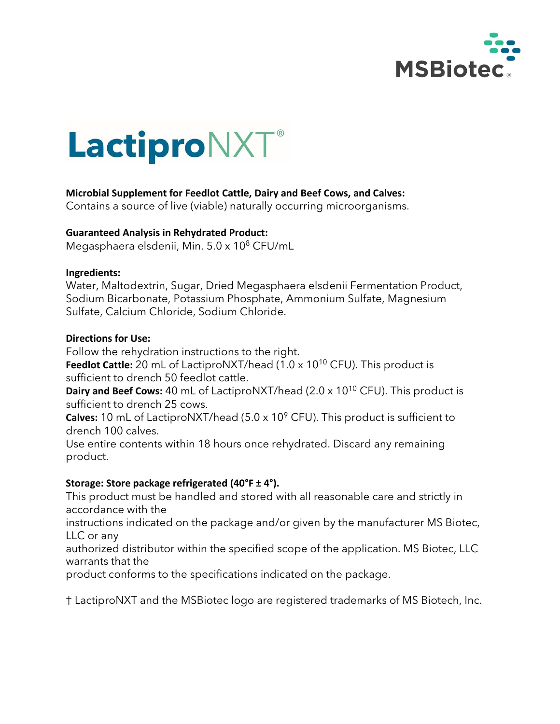

# LactiproNXT®

# **Microbial Supplement for Feedlot Cattle, Dairy and Beef Cows, and Calves:**

Contains a source of live (viable) naturally occurring microorganisms.

#### **Guaranteed Analysis in Rehydrated Product:**

Megasphaera elsdenii, Min. 5.0 x 10<sup>8</sup> CFU/mL

#### **Ingredients:**

Water, Maltodextrin, Sugar, Dried Megasphaera elsdenii Fermentation Product, Sodium Bicarbonate, Potassium Phosphate, Ammonium Sulfate, Magnesium Sulfate, Calcium Chloride, Sodium Chloride.

#### **Directions for Use:**

Follow the rehydration instructions to the right.

**Feedlot Cattle:** 20 mL of LactiproNXT/head (1.0 x 10<sup>10</sup> CFU). This product is sufficient to drench 50 feedlot cattle.

**Dairy and Beef Cows:** 40 mL of LactiproNXT/head (2.0 x 10<sup>10</sup> CFU). This product is sufficient to drench 25 cows.

**Calves:** 10 mL of LactiproNXT/head (5.0 x 10<sup>9</sup> CFU). This product is sufficient to drench 100 calves.

Use entire contents within 18 hours once rehydrated. Discard any remaining product.

# **Storage: Store package refrigerated (40°F ± 4°).**

This product must be handled and stored with all reasonable care and strictly in accordance with the

instructions indicated on the package and/or given by the manufacturer MS Biotec, LLC or any

authorized distributor within the specified scope of the application. MS Biotec, LLC warrants that the

product conforms to the specifications indicated on the package.

† LactiproNXT and the MSBiotec logo are registered trademarks of MS Biotech, Inc.